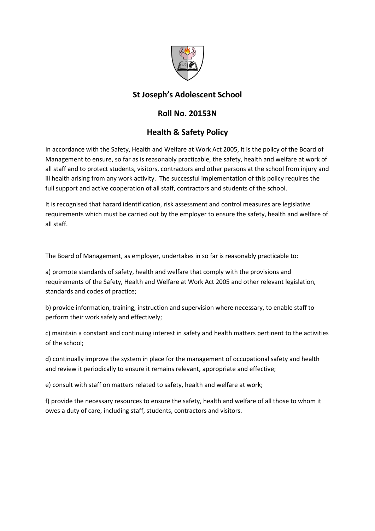

## St Joseph's Adolescent School

## Roll No. 20153N

## Health & Safety Policy

In accordance with the Safety, Health and Welfare at Work Act 2005, it is the policy of the Board of Management to ensure, so far as is reasonably practicable, the safety, health and welfare at work of all staff and to protect students, visitors, contractors and other persons at the school from injury and ill health arising from any work activity. The successful implementation of this policy requires the full support and active cooperation of all staff, contractors and students of the school.

It is recognised that hazard identification, risk assessment and control measures are legislative requirements which must be carried out by the employer to ensure the safety, health and welfare of all staff.

The Board of Management, as employer, undertakes in so far is reasonably practicable to:

a) promote standards of safety, health and welfare that comply with the provisions and requirements of the Safety, Health and Welfare at Work Act 2005 and other relevant legislation, standards and codes of practice;

b) provide information, training, instruction and supervision where necessary, to enable staff to perform their work safely and effectively;

c) maintain a constant and continuing interest in safety and health matters pertinent to the activities of the school;

d) continually improve the system in place for the management of occupational safety and health and review it periodically to ensure it remains relevant, appropriate and effective;

e) consult with staff on matters related to safety, health and welfare at work;

f) provide the necessary resources to ensure the safety, health and welfare of all those to whom it owes a duty of care, including staff, students, contractors and visitors.